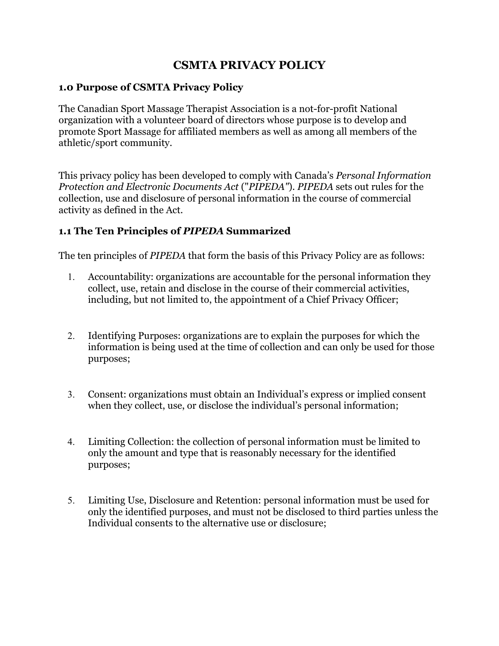# **CSMTA PRIVACY POLICY**

#### **1.0 Purpose of CSMTA Privacy Policy**

The Canadian Sport Massage Therapist Association is a not-for-profit National organization with a volunteer board of directors whose purpose is to develop and promote Sport Massage for affiliated members as well as among all members of the athletic/sport community.

This privacy policy has been developed to comply with Canada's *Personal Information Protection and Electronic Documents Act* ("*PIPEDA"*). *PIPEDA* sets out rules for the collection, use and disclosure of personal information in the course of commercial activity as defined in the Act.

### **1.1 The Ten Principles of** *PIPEDA* **Summarized**

The ten principles of *PIPEDA* that form the basis of this Privacy Policy are as follows:

- 1. Accountability: organizations are accountable for the personal information they collect, use, retain and disclose in the course of their commercial activities, including, but not limited to, the appointment of a Chief Privacy Officer;
- 2. Identifying Purposes: organizations are to explain the purposes for which the information is being used at the time of collection and can only be used for those purposes;
- 3. Consent: organizations must obtain an Individual's express or implied consent when they collect, use, or disclose the individual's personal information;
- 4. Limiting Collection: the collection of personal information must be limited to only the amount and type that is reasonably necessary for the identified purposes;
- 5. Limiting Use, Disclosure and Retention: personal information must be used for only the identified purposes, and must not be disclosed to third parties unless the Individual consents to the alternative use or disclosure;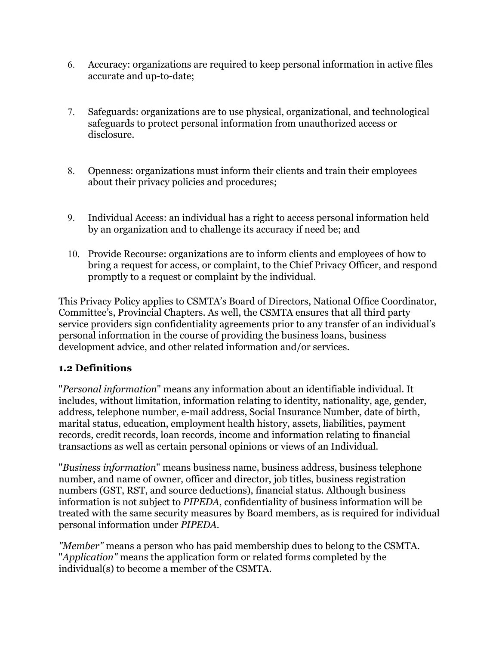- 6. Accuracy: organizations are required to keep personal information in active files accurate and up-to-date;
- 7. Safeguards: organizations are to use physical, organizational, and technological safeguards to protect personal information from unauthorized access or disclosure.
- 8. Openness: organizations must inform their clients and train their employees about their privacy policies and procedures;
- 9. Individual Access: an individual has a right to access personal information held by an organization and to challenge its accuracy if need be; and
- 10. Provide Recourse: organizations are to inform clients and employees of how to bring a request for access, or complaint, to the Chief Privacy Officer, and respond promptly to a request or complaint by the individual.

This Privacy Policy applies to CSMTA's Board of Directors, National Office Coordinator, Committee's, Provincial Chapters. As well, the CSMTA ensures that all third party service providers sign confidentiality agreements prior to any transfer of an individual's personal information in the course of providing the business loans, business development advice, and other related information and/or services.

# **1.2 Definitions**

"*Personal information*" means any information about an identifiable individual. It includes, without limitation, information relating to identity, nationality, age, gender, address, telephone number, e-mail address, Social Insurance Number, date of birth, marital status, education, employment health history, assets, liabilities, payment records, credit records, loan records, income and information relating to financial transactions as well as certain personal opinions or views of an Individual.

"*Business information*" means business name, business address, business telephone number, and name of owner, officer and director, job titles, business registration numbers (GST, RST, and source deductions), financial status. Although business information is not subject to *PIPEDA*, confidentiality of business information will be treated with the same security measures by Board members, as is required for individual personal information under *PIPEDA.* 

*"Member"* means a person who has paid membership dues to belong to the CSMTA. "*Application"* means the application form or related forms completed by the individual(s) to become a member of the CSMTA.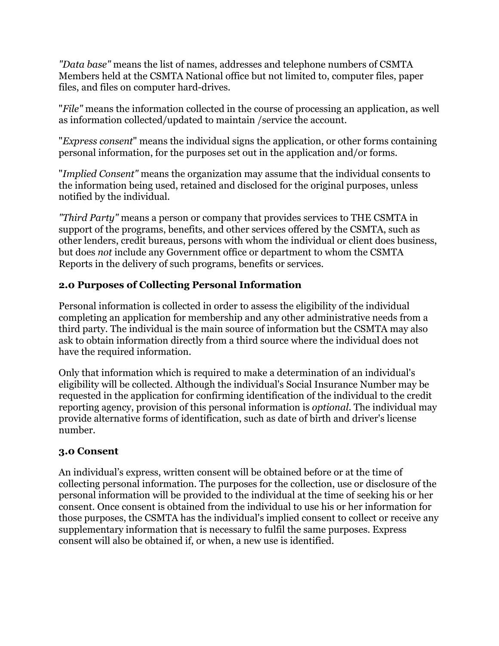*"Data base"* means the list of names, addresses and telephone numbers of CSMTA Members held at the CSMTA National office but not limited to, computer files, paper files, and files on computer hard-drives.

"*File"* means the information collected in the course of processing an application, as well as information collected/updated to maintain /service the account.

"*Express consent*" means the individual signs the application, or other forms containing personal information, for the purposes set out in the application and/or forms.

"*Implied Consent"* means the organization may assume that the individual consents to the information being used, retained and disclosed for the original purposes, unless notified by the individual.

*"Third Party"* means a person or company that provides services to THE CSMTA in support of the programs, benefits, and other services offered by the CSMTA, such as other lenders, credit bureaus, persons with whom the individual or client does business, but does *not* include any Government office or department to whom the CSMTA Reports in the delivery of such programs, benefits or services.

# **2.0 Purposes of Collecting Personal Information**

Personal information is collected in order to assess the eligibility of the individual completing an application for membership and any other administrative needs from a third party. The individual is the main source of information but the CSMTA may also ask to obtain information directly from a third source where the individual does not have the required information.

Only that information which is required to make a determination of an individual's eligibility will be collected. Although the individual's Social Insurance Number may be requested in the application for confirming identification of the individual to the credit reporting agency, provision of this personal information is *optional.* The individual may provide alternative forms of identification, such as date of birth and driver's license number.

#### **3.0 Consent**

An individual's express, written consent will be obtained before or at the time of collecting personal information. The purposes for the collection, use or disclosure of the personal information will be provided to the individual at the time of seeking his or her consent. Once consent is obtained from the individual to use his or her information for those purposes, the CSMTA has the individual's implied consent to collect or receive any supplementary information that is necessary to fulfil the same purposes. Express consent will also be obtained if, or when, a new use is identified.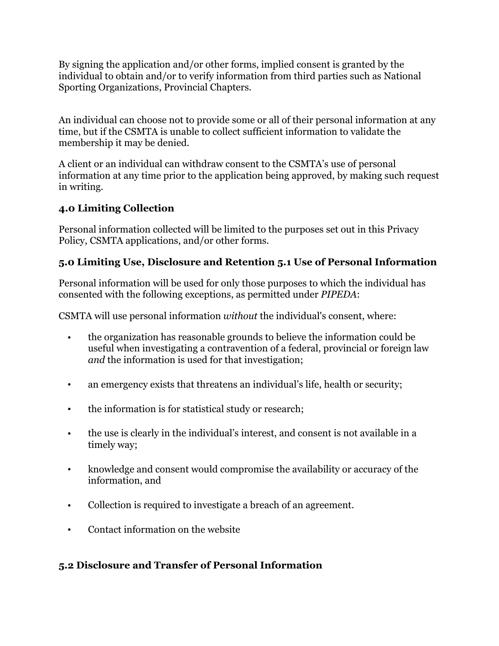By signing the application and/or other forms, implied consent is granted by the individual to obtain and/or to verify information from third parties such as National Sporting Organizations, Provincial Chapters.

An individual can choose not to provide some or all of their personal information at any time, but if the CSMTA is unable to collect sufficient information to validate the membership it may be denied.

A client or an individual can withdraw consent to the CSMTA's use of personal information at any time prior to the application being approved, by making such request in writing.

# **4.0 Limiting Collection**

Personal information collected will be limited to the purposes set out in this Privacy Policy, CSMTA applications, and/or other forms.

# **5.0 Limiting Use, Disclosure and Retention 5.1 Use of Personal Information**

Personal information will be used for only those purposes to which the individual has consented with the following exceptions, as permitted under *PIPEDA*:

CSMTA will use personal information *without* the individual's consent, where:

- the organization has reasonable grounds to believe the information could be useful when investigating a contravention of a federal, provincial or foreign law *and* the information is used for that investigation;
- an emergency exists that threatens an individual's life, health or security;
- the information is for statistical study or research;
- the use is clearly in the individual's interest, and consent is not available in a timely way;
- knowledge and consent would compromise the availability or accuracy of the information, and
- Collection is required to investigate a breach of an agreement.
- Contact information on the website

# **5.2 Disclosure and Transfer of Personal Information**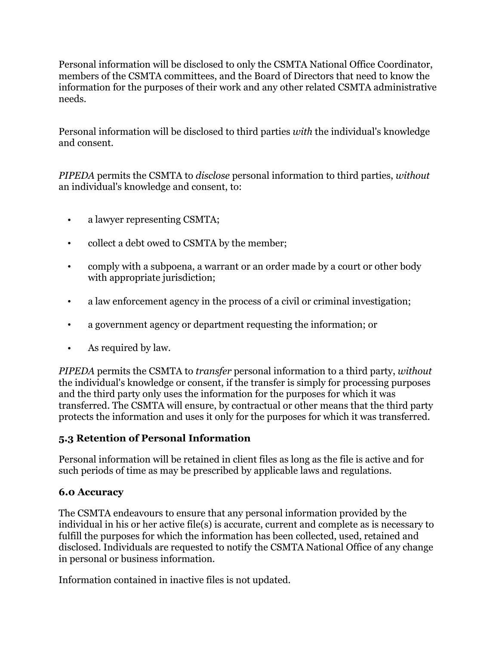Personal information will be disclosed to only the CSMTA National Office Coordinator, members of the CSMTA committees, and the Board of Directors that need to know the information for the purposes of their work and any other related CSMTA administrative needs.

Personal information will be disclosed to third parties *with* the individual's knowledge and consent.

*PIPEDA* permits the CSMTA to *disclose* personal information to third parties, *without*  an individual's knowledge and consent, to:

- a lawyer representing CSMTA;
- collect a debt owed to CSMTA by the member;
- comply with a subpoena, a warrant or an order made by a court or other body with appropriate jurisdiction;
- a law enforcement agency in the process of a civil or criminal investigation;
- a government agency or department requesting the information; or
- As required by law.

*PIPEDA* permits the CSMTA to *transfer* personal information to a third party, *without*  the individual's knowledge or consent, if the transfer is simply for processing purposes and the third party only uses the information for the purposes for which it was transferred. The CSMTA will ensure, by contractual or other means that the third party protects the information and uses it only for the purposes for which it was transferred.

# **5.3 Retention of Personal Information**

Personal information will be retained in client files as long as the file is active and for such periods of time as may be prescribed by applicable laws and regulations.

# **6.0 Accuracy**

The CSMTA endeavours to ensure that any personal information provided by the individual in his or her active file(s) is accurate, current and complete as is necessary to fulfill the purposes for which the information has been collected, used, retained and disclosed. Individuals are requested to notify the CSMTA National Office of any change in personal or business information.

Information contained in inactive files is not updated.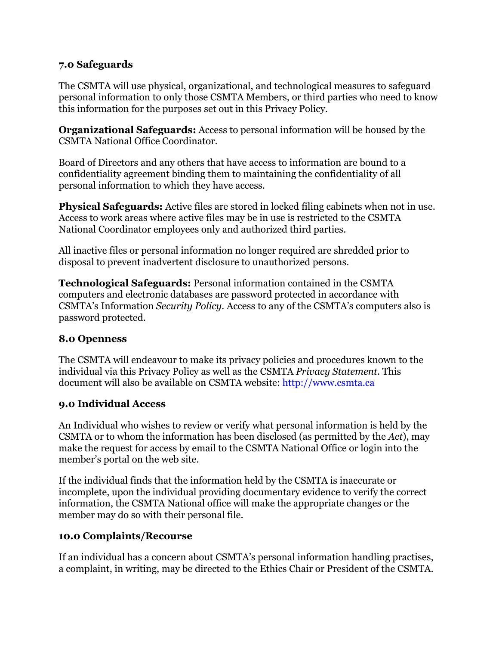#### **7.0 Safeguards**

The CSMTA will use physical, organizational, and technological measures to safeguard personal information to only those CSMTA Members, or third parties who need to know this information for the purposes set out in this Privacy Policy.

**Organizational Safeguards:** Access to personal information will be housed by the CSMTA National Office Coordinator.

Board of Directors and any others that have access to information are bound to a confidentiality agreement binding them to maintaining the confidentiality of all personal information to which they have access.

**Physical Safeguards:** Active files are stored in locked filing cabinets when not in use. Access to work areas where active files may be in use is restricted to the CSMTA National Coordinator employees only and authorized third parties.

All inactive files or personal information no longer required are shredded prior to disposal to prevent inadvertent disclosure to unauthorized persons.

**Technological Safeguards:** Personal information contained in the CSMTA computers and electronic databases are password protected in accordance with CSMTA's Information *Security Policy.* Access to any of the CSMTA's computers also is password protected.

#### **8.0 Openness**

The CSMTA will endeavour to make its privacy policies and procedures known to the individual via this Privacy Policy as well as the CSMTA *Privacy Statement*. This document will also be available on CSMTA website: http://www.csmta.ca

#### **9.0 Individual Access**

An Individual who wishes to review or verify what personal information is held by the CSMTA or to whom the information has been disclosed (as permitted by the *Act*), may make the request for access by email to the CSMTA National Office or login into the member's portal on the web site.

If the individual finds that the information held by the CSMTA is inaccurate or incomplete, upon the individual providing documentary evidence to verify the correct information, the CSMTA National office will make the appropriate changes or the member may do so with their personal file.

#### **10.0 Complaints/Recourse**

If an individual has a concern about CSMTA's personal information handling practises, a complaint, in writing, may be directed to the Ethics Chair or President of the CSMTA.